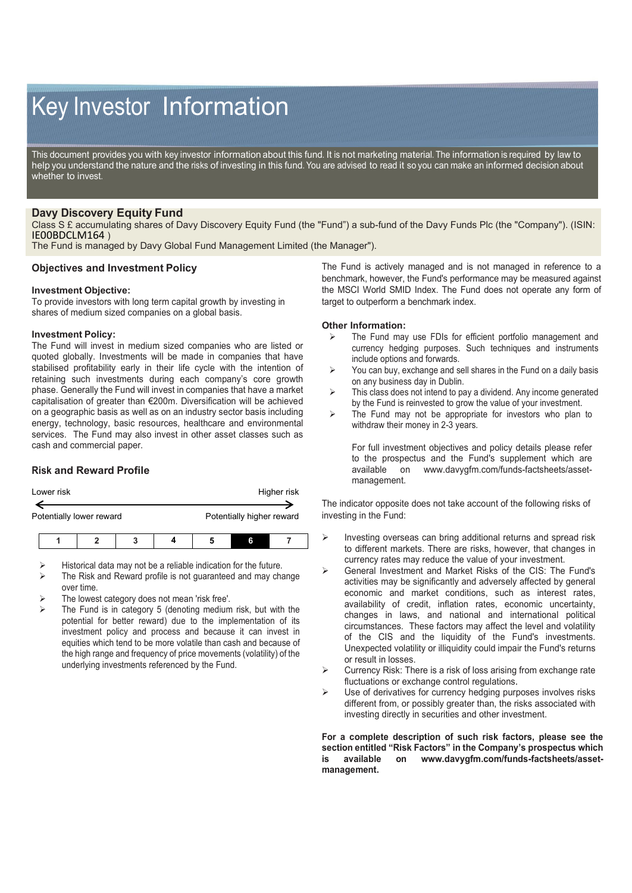# Key Investor Information

This document provides you with key investor information about this fund. It is not marketing material. The information is required by law to help you understand the nature and the risks of investing in this fund. You are advised to read it so you can make an informed decision about whether to invest.

## **Davy Discovery Equity Fund**

Class S £ accumulating shares of Davy Discovery Equity Fund (the "Fund") a sub-fund of the Davy Funds Plc (the "Company"). (ISIN: IE00BDCLM164 )

The Fund is managed by Davy Global Fund Management Limited (the Manager").

#### **Objectives and Investment Policy**

#### **Investment Objective:**

To provide investors with long term capital growth by investing in shares of medium sized companies on a global basis.

#### **Investment Policy:**

The Fund will invest in medium sized companies who are listed or quoted globally. Investments will be made in companies that have stabilised profitability early in their life cycle with the intention of retaining such investments during each company's core growth phase. Generally the Fund will invest in companies that have a market capitalisation of greater than €200m. Diversification will be achieved on a geographic basis as well as on an industry sector basis including energy, technology, basic resources, healthcare and environmental services. The Fund may also invest in other asset classes such as cash and commercial paper.

## **Risk and Reward Profile**

| Lower risk               | Higher risk               |
|--------------------------|---------------------------|
|                          |                           |
| Potentially lower reward | Potentially higher reward |
|                          |                           |

- Historical data may not be a reliable indication for the future.
- $\triangleright$  The Risk and Reward profile is not guaranteed and may change over time.
- The lowest category does not mean 'risk free'.
- The Fund is in category 5 (denoting medium risk, but with the potential for better reward) due to the implementation of its investment policy and process and because it can invest in equities which tend to be more volatile than cash and because of the high range and frequency of price movements (volatility) of the underlying investments referenced by the Fund.

The Fund is actively managed and is not managed in reference to a benchmark, however, the Fund's performance may be measured against the MSCI World SMID Index. The Fund does not operate any form of target to outperform a benchmark index.

#### **Other Information:**

- $\triangleright$  The Fund may use FDIs for efficient portfolio management and currency hedging purposes. Such techniques and instruments include options and forwards.
- $\triangleright$  You can buy, exchange and sell shares in the Fund on a daily basis on any business day in Dublin.
- $\triangleright$  This class does not intend to pay a dividend. Any income generated by the Fund is reinvested to grow the value of your investment.
- $\triangleright$  The Fund may not be appropriate for investors who plan to withdraw their money in 2-3 years.

For full investment objectives and policy details please refer to the prospectus and the Fund's supplement which are available on www.davygfm.com/funds-factsheets/assetwww.davygfm.com/funds-factsheets/assetmanagement.

The indicator opposite does not take account of the following risks of investing in the Fund:

- Investing overseas can bring additional returns and spread risk to different markets. There are risks, however, that changes in currency rates may reduce the value of your investment.
- General Investment and Market Risks of the CIS: The Fund's activities may be significantly and adversely affected by general economic and market conditions, such as interest rates, availability of credit, inflation rates, economic uncertainty, changes in laws, and national and international political circumstances. These factors may affect the level and volatility of the CIS and the liquidity of the Fund's investments. Unexpected volatility or illiquidity could impair the Fund's returns or result in losses.
- Currency Risk: There is a risk of loss arising from exchange rate fluctuations or exchange control regulations.
- $\triangleright$  Use of derivatives for currency hedging purposes involves risks different from, or possibly greater than, the risks associated with investing directly in securities and other investment.

**For a complete description of such risk factors, please see the section entitled "Risk Factors" in the Company's prospectus which is available on www.davygfm.com/funds-factsheets/assetmanagement.**